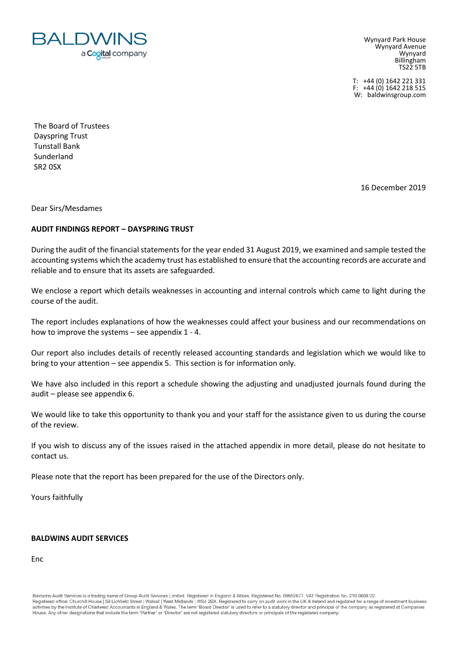

Wynyard Park House Wynyard Avenue Wynyard Billingham TS22 5TB

T: +44 (0) 1642 221 331 F:  $+44(0)$  1642 218 515 W: baldwinsgroup.com

The Board of Trustees Dayspring Trust Tunstall Bank Sunderland SR2 0SX

16 December 2019

Dear Sirs/Mesdames

# **AUDIT FINDINGS REPORT – DAYSPRING TRUST**

During the audit of the financial statements for the year ended 31 August 2019, we examined and sample tested the accounting systems which the academy trust has established to ensure that the accounting records are accurate and reliable and to ensure that its assets are safeguarded.

We enclose a report which details weaknesses in accounting and internal controls which came to light during the course of the audit.

The report includes explanations of how the weaknesses could affect your business and our recommendations on how to improve the systems – see appendix 1 - 4.

Our report also includes details of recently released accounting standards and legislation which we would like to bring to your attention – see appendix 5. This section is for information only.

We have also included in this report a schedule showing the adjusting and unadjusted journals found during the audit – please see appendix 6.

We would like to take this opportunity to thank you and your staff for the assistance given to us during the course of the review.

If you wish to discuss any of the issues raised in the attached appendix in more detail, please do not hesitate to contact us.

Please note that the report has been prepared for the use of the Directors only.

Yours faithfully

# **BALDWINS AUDIT SERVICES**

Enc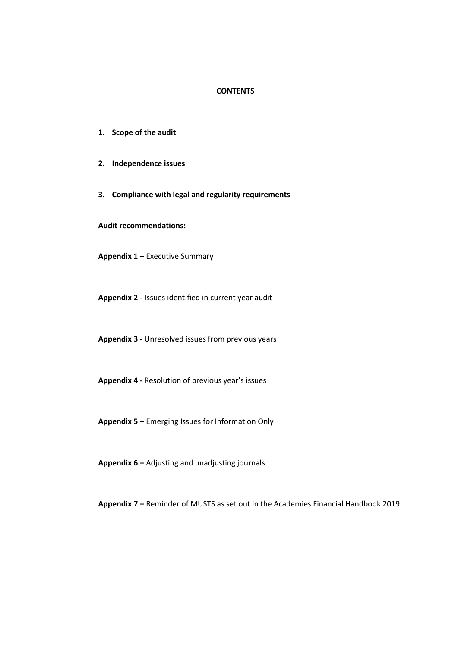### **CONTENTS**

- **1. Scope of the audit**
- **2. Independence issues**
- **3. Compliance with legal and regularity requirements**

**Audit recommendations:**

**Appendix 1 –** Executive Summary

**Appendix 2 -** Issues identified in current year audit

**Appendix 3 -** Unresolved issues from previous years

**Appendix 4 -** Resolution of previous year's issues

**Appendix 5** – Emerging Issues for Information Only

**Appendix 6 –** Adjusting and unadjusting journals

**Appendix 7 –** Reminder of MUSTS as set out in the Academies Financial Handbook 2019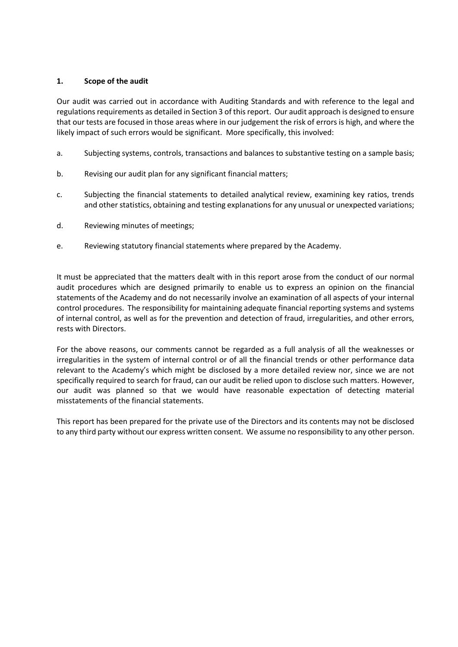# **1. Scope of the audit**

Our audit was carried out in accordance with Auditing Standards and with reference to the legal and regulations requirements as detailed in Section 3 of this report. Our audit approach is designed to ensure that our tests are focused in those areas where in our judgement the risk of errors is high, and where the likely impact of such errors would be significant. More specifically, this involved:

- a. Subjecting systems, controls, transactions and balances to substantive testing on a sample basis;
- b. Revising our audit plan for any significant financial matters;
- c. Subjecting the financial statements to detailed analytical review, examining key ratios, trends and other statistics, obtaining and testing explanations for any unusual or unexpected variations;
- d. Reviewing minutes of meetings;
- e. Reviewing statutory financial statements where prepared by the Academy.

It must be appreciated that the matters dealt with in this report arose from the conduct of our normal audit procedures which are designed primarily to enable us to express an opinion on the financial statements of the Academy and do not necessarily involve an examination of all aspects of your internal control procedures. The responsibility for maintaining adequate financial reporting systems and systems of internal control, as well as for the prevention and detection of fraud, irregularities, and other errors, rests with Directors.

For the above reasons, our comments cannot be regarded as a full analysis of all the weaknesses or irregularities in the system of internal control or of all the financial trends or other performance data relevant to the Academy's which might be disclosed by a more detailed review nor, since we are not specifically required to search for fraud, can our audit be relied upon to disclose such matters. However, our audit was planned so that we would have reasonable expectation of detecting material misstatements of the financial statements.

This report has been prepared for the private use of the Directors and its contents may not be disclosed to any third party without our express written consent. We assume no responsibility to any other person.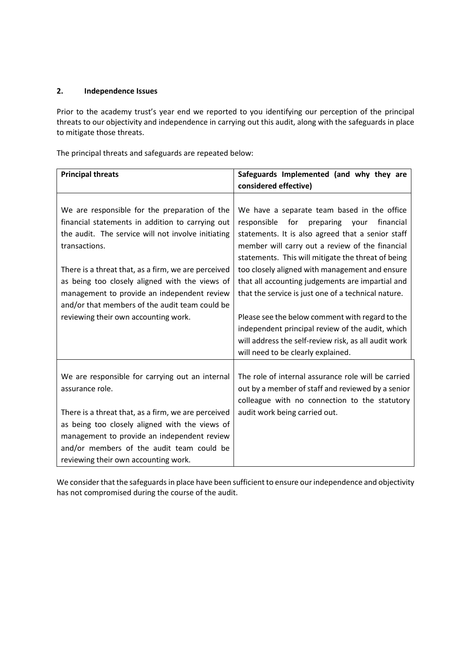# **2. Independence Issues**

Prior to the academy trust's year end we reported to you identifying our perception of the principal threats to our objectivity and independence in carrying out this audit, along with the safeguards in place to mitigate those threats.

The principal threats and safeguards are repeated below:

| <b>Principal threats</b>                                                                                                                                                                                                                  | Safeguards Implemented (and why they are                                                                                                                                                                                                                                                                         |  |  |
|-------------------------------------------------------------------------------------------------------------------------------------------------------------------------------------------------------------------------------------------|------------------------------------------------------------------------------------------------------------------------------------------------------------------------------------------------------------------------------------------------------------------------------------------------------------------|--|--|
|                                                                                                                                                                                                                                           | considered effective)                                                                                                                                                                                                                                                                                            |  |  |
| We are responsible for the preparation of the<br>financial statements in addition to carrying out<br>the audit. The service will not involve initiating<br>transactions.<br>There is a threat that, as a firm, we are perceived           | We have a separate team based in the office<br>responsible<br>for preparing<br>your<br>financial<br>statements. It is also agreed that a senior staff<br>member will carry out a review of the financial<br>statements. This will mitigate the threat of being<br>too closely aligned with management and ensure |  |  |
| as being too closely aligned with the views of<br>management to provide an independent review<br>and/or that members of the audit team could be<br>reviewing their own accounting work.                                                   | that all accounting judgements are impartial and<br>that the service is just one of a technical nature.<br>Please see the below comment with regard to the<br>independent principal review of the audit, which                                                                                                   |  |  |
|                                                                                                                                                                                                                                           | will address the self-review risk, as all audit work<br>will need to be clearly explained.                                                                                                                                                                                                                       |  |  |
| We are responsible for carrying out an internal<br>assurance role.                                                                                                                                                                        | The role of internal assurance role will be carried<br>out by a member of staff and reviewed by a senior<br>colleague with no connection to the statutory                                                                                                                                                        |  |  |
| There is a threat that, as a firm, we are perceived<br>as being too closely aligned with the views of<br>management to provide an independent review<br>and/or members of the audit team could be<br>reviewing their own accounting work. | audit work being carried out.                                                                                                                                                                                                                                                                                    |  |  |

We consider that the safeguards in place have been sufficient to ensure our independence and objectivity has not compromised during the course of the audit.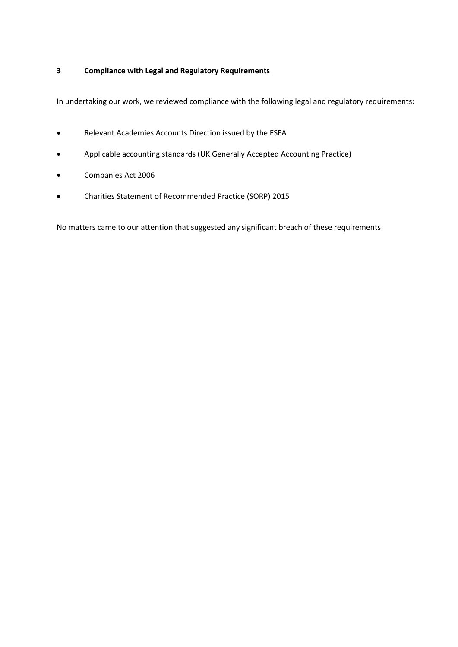# **3 Compliance with Legal and Regulatory Requirements**

In undertaking our work, we reviewed compliance with the following legal and regulatory requirements:

- Relevant Academies Accounts Direction issued by the ESFA
- Applicable accounting standards (UK Generally Accepted Accounting Practice)
- Companies Act 2006
- Charities Statement of Recommended Practice (SORP) 2015

No matters came to our attention that suggested any significant breach of these requirements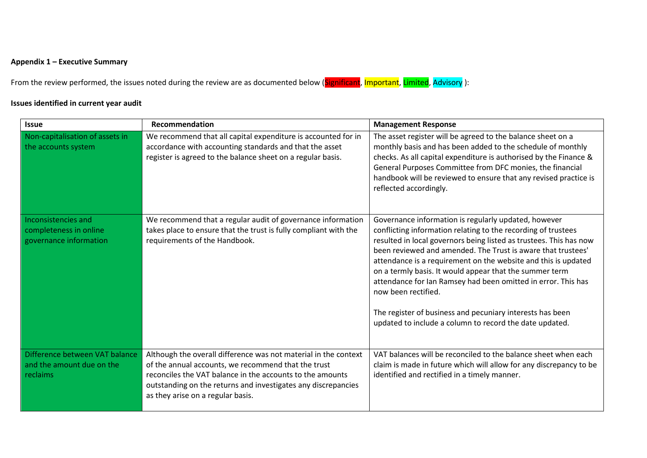# **Appendix 1 – Executive Summary**

From the review performed, the issues noted during the review are as documented below (Significant, Important, Limited, Advisory):

# **Issues identified in current year audit**

| <b>Issue</b>                                                            | Recommendation                                                                                                                                                                                                                                                                            | <b>Management Response</b>                                                                                                                                                                                                                                                                                                                                                                                                                                                                                                                                                                               |  |  |
|-------------------------------------------------------------------------|-------------------------------------------------------------------------------------------------------------------------------------------------------------------------------------------------------------------------------------------------------------------------------------------|----------------------------------------------------------------------------------------------------------------------------------------------------------------------------------------------------------------------------------------------------------------------------------------------------------------------------------------------------------------------------------------------------------------------------------------------------------------------------------------------------------------------------------------------------------------------------------------------------------|--|--|
| Non-capitalisation of assets in<br>the accounts system                  | We recommend that all capital expenditure is accounted for in<br>accordance with accounting standards and that the asset<br>register is agreed to the balance sheet on a regular basis.                                                                                                   | The asset register will be agreed to the balance sheet on a<br>monthly basis and has been added to the schedule of monthly<br>checks. As all capital expenditure is authorised by the Finance &<br>General Purposes Committee from DFC monies, the financial<br>handbook will be reviewed to ensure that any revised practice is<br>reflected accordingly.                                                                                                                                                                                                                                               |  |  |
| Inconsistencies and<br>completeness in online<br>governance information | We recommend that a regular audit of governance information<br>takes place to ensure that the trust is fully compliant with the<br>requirements of the Handbook.                                                                                                                          | Governance information is regularly updated, however<br>conflicting information relating to the recording of trustees<br>resulted in local governors being listed as trustees. This has now<br>been reviewed and amended. The Trust is aware that trustees'<br>attendance is a requirement on the website and this is updated<br>on a termly basis. It would appear that the summer term<br>attendance for Ian Ramsey had been omitted in error. This has<br>now been rectified.<br>The register of business and pecuniary interests has been<br>updated to include a column to record the date updated. |  |  |
| Difference between VAT balance<br>and the amount due on the<br>reclaims | Although the overall difference was not material in the context<br>of the annual accounts, we recommend that the trust<br>reconciles the VAT balance in the accounts to the amounts<br>outstanding on the returns and investigates any discrepancies<br>as they arise on a regular basis. | VAT balances will be reconciled to the balance sheet when each<br>claim is made in future which will allow for any discrepancy to be<br>identified and rectified in a timely manner.                                                                                                                                                                                                                                                                                                                                                                                                                     |  |  |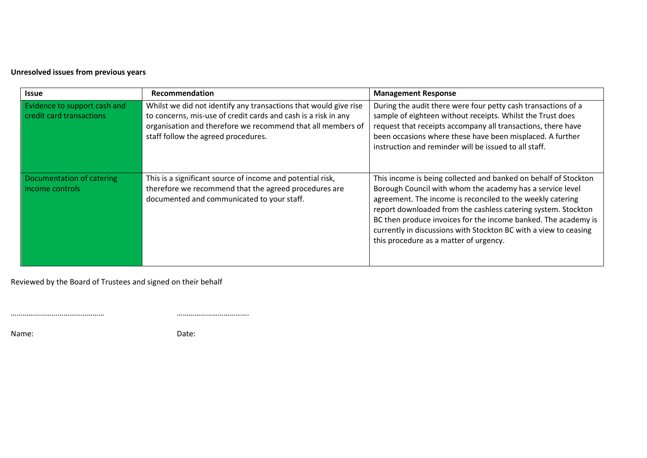# **Unresolved issues from previous years**

| <b>Issue</b>                                             | Recommendation                                                                                                                                                                                                                           | <b>Management Response</b>                                                                                                                                                                                                                                                                                                                                                                                                                  |
|----------------------------------------------------------|------------------------------------------------------------------------------------------------------------------------------------------------------------------------------------------------------------------------------------------|---------------------------------------------------------------------------------------------------------------------------------------------------------------------------------------------------------------------------------------------------------------------------------------------------------------------------------------------------------------------------------------------------------------------------------------------|
| Evidence to support cash and<br>credit card transactions | Whilst we did not identify any transactions that would give rise<br>to concerns, mis-use of credit cards and cash is a risk in any<br>organisation and therefore we recommend that all members of<br>staff follow the agreed procedures. | During the audit there were four petty cash transactions of a<br>sample of eighteen without receipts. Whilst the Trust does<br>request that receipts accompany all transactions, there have<br>been occasions where these have been misplaced. A further<br>instruction and reminder will be issued to all staff.                                                                                                                           |
| Documentation of catering<br>income controls             | This is a significant source of income and potential risk,<br>therefore we recommend that the agreed procedures are<br>documented and communicated to your staff.                                                                        | This income is being collected and banked on behalf of Stockton<br>Borough Council with whom the academy has a service level<br>agreement. The income is reconciled to the weekly catering<br>report downloaded from the cashless catering system. Stockton<br>BC then produce invoices for the income banked. The academy is<br>currently in discussions with Stockton BC with a view to ceasing<br>this procedure as a matter of urgency. |

Reviewed by the Board of Trustees and signed on their behalf

………………………………………… ……………………………….

Name: **Date:** Date: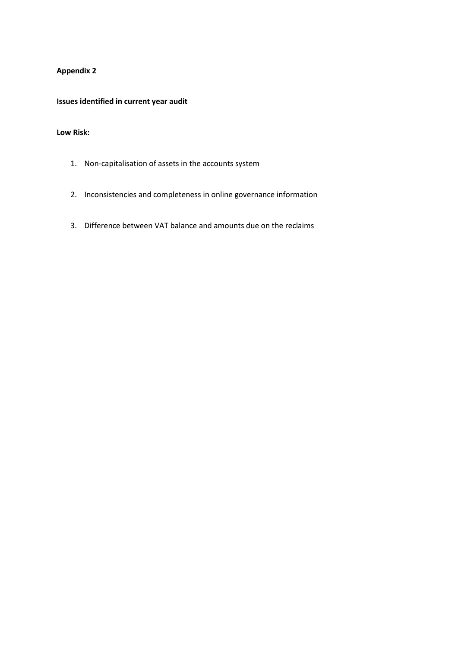# **Appendix 2**

# **Issues identified in current year audit**

# **Low Risk:**

- 1. Non-capitalisation of assets in the accounts system
- 2. Inconsistencies and completeness in online governance information
- 3. Difference between VAT balance and amounts due on the reclaims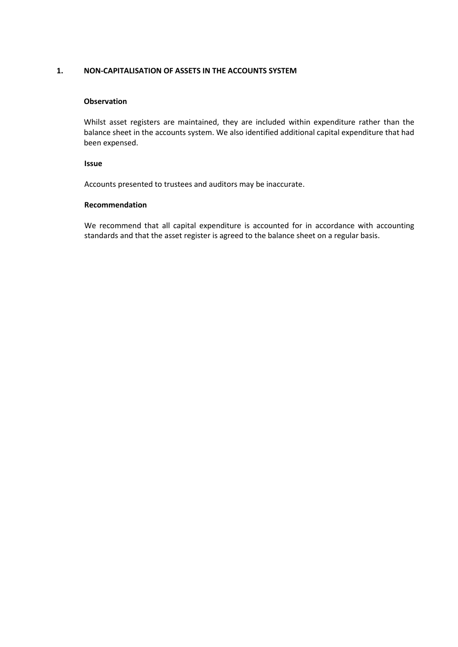### **1. NON-CAPITALISATION OF ASSETS IN THE ACCOUNTS SYSTEM**

#### **Observation**

Whilst asset registers are maintained, they are included within expenditure rather than the balance sheet in the accounts system. We also identified additional capital expenditure that had been expensed.

#### **Issue**

Accounts presented to trustees and auditors may be inaccurate.

#### **Recommendation**

We recommend that all capital expenditure is accounted for in accordance with accounting standards and that the asset register is agreed to the balance sheet on a regular basis.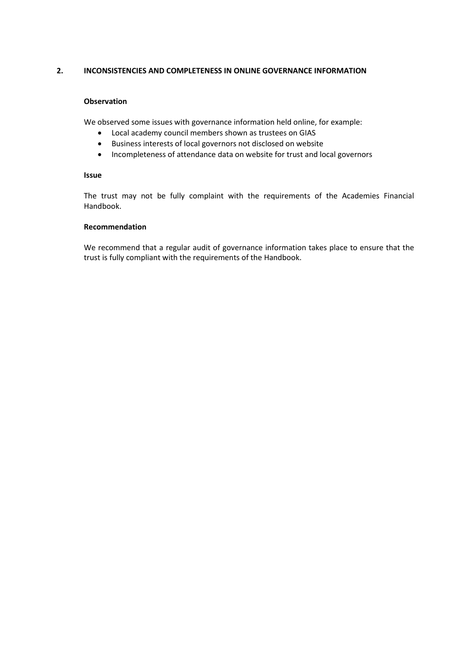# **2. INCONSISTENCIES AND COMPLETENESS IN ONLINE GOVERNANCE INFORMATION**

### **Observation**

We observed some issues with governance information held online, for example:

- Local academy council members shown as trustees on GIAS
- Business interests of local governors not disclosed on website
- Incompleteness of attendance data on website for trust and local governors

# **Issue**

The trust may not be fully complaint with the requirements of the Academies Financial Handbook.

#### **Recommendation**

We recommend that a regular audit of governance information takes place to ensure that the trust is fully compliant with the requirements of the Handbook.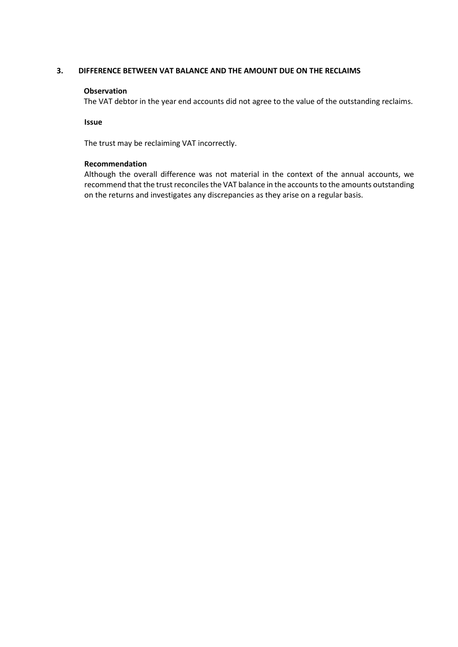### **3. DIFFERENCE BETWEEN VAT BALANCE AND THE AMOUNT DUE ON THE RECLAIMS**

#### **Observation**

The VAT debtor in the year end accounts did not agree to the value of the outstanding reclaims.

**Issue**

The trust may be reclaiming VAT incorrectly.

# **Recommendation**

Although the overall difference was not material in the context of the annual accounts, we recommend that the trust reconciles the VAT balance in the accounts to the amounts outstanding on the returns and investigates any discrepancies as they arise on a regular basis.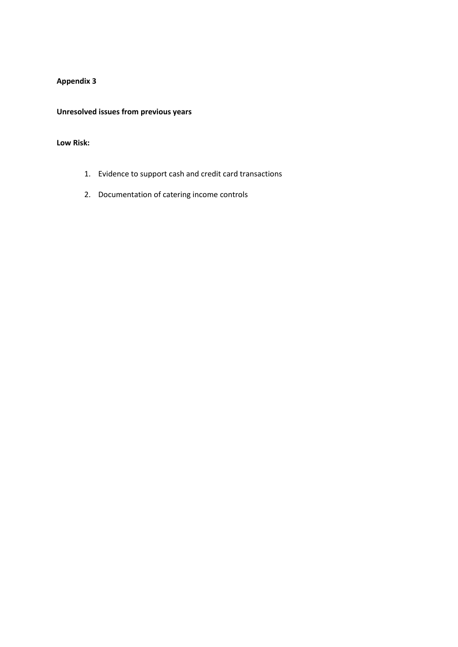# **Appendix 3**

**Unresolved issues from previous years**

# **Low Risk:**

- 1. Evidence to support cash and credit card transactions
- 2. Documentation of catering income controls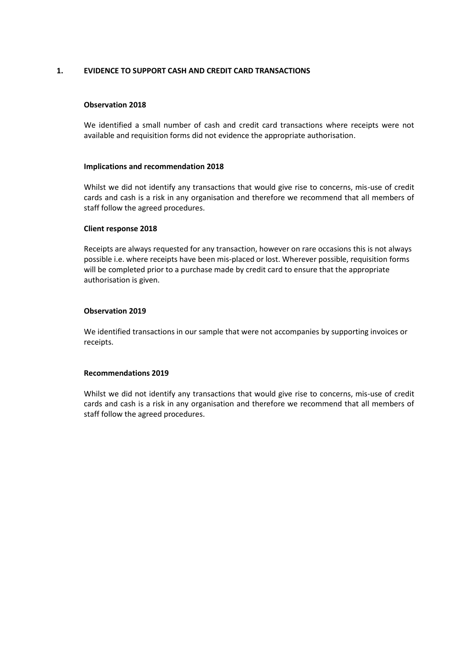# **1. EVIDENCE TO SUPPORT CASH AND CREDIT CARD TRANSACTIONS**

#### **Observation 2018**

We identified a small number of cash and credit card transactions where receipts were not available and requisition forms did not evidence the appropriate authorisation.

#### **Implications and recommendation 2018**

Whilst we did not identify any transactions that would give rise to concerns, mis-use of credit cards and cash is a risk in any organisation and therefore we recommend that all members of staff follow the agreed procedures.

#### **Client response 2018**

Receipts are always requested for any transaction, however on rare occasions this is not always possible i.e. where receipts have been mis-placed or lost. Wherever possible, requisition forms will be completed prior to a purchase made by credit card to ensure that the appropriate authorisation is given.

### **Observation 2019**

We identified transactions in our sample that were not accompanies by supporting invoices or receipts.

#### **Recommendations 2019**

Whilst we did not identify any transactions that would give rise to concerns, mis-use of credit cards and cash is a risk in any organisation and therefore we recommend that all members of staff follow the agreed procedures.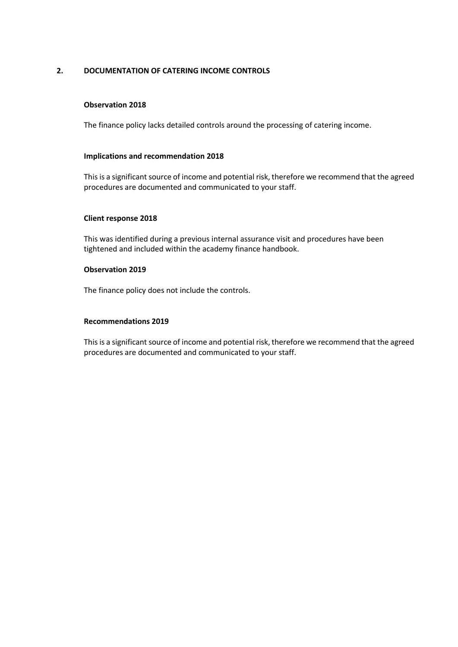# **2. DOCUMENTATION OF CATERING INCOME CONTROLS**

# **Observation 2018**

The finance policy lacks detailed controls around the processing of catering income.

### **Implications and recommendation 2018**

This is a significant source of income and potential risk, therefore we recommend that the agreed procedures are documented and communicated to your staff.

### **Client response 2018**

This was identified during a previous internal assurance visit and procedures have been tightened and included within the academy finance handbook.

#### **Observation 2019**

The finance policy does not include the controls.

#### **Recommendations 2019**

This is a significant source of income and potential risk, therefore we recommend that the agreed procedures are documented and communicated to your staff.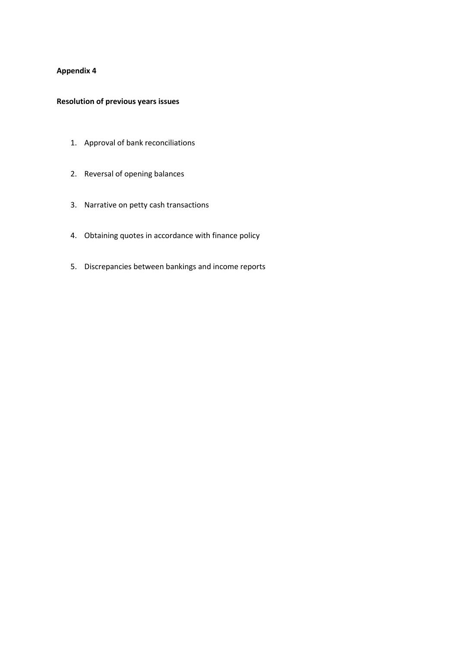# **Appendix 4**

# **Resolution of previous years issues**

- 1. Approval of bank reconciliations
- 2. Reversal of opening balances
- 3. Narrative on petty cash transactions
- 4. Obtaining quotes in accordance with finance policy
- 5. Discrepancies between bankings and income reports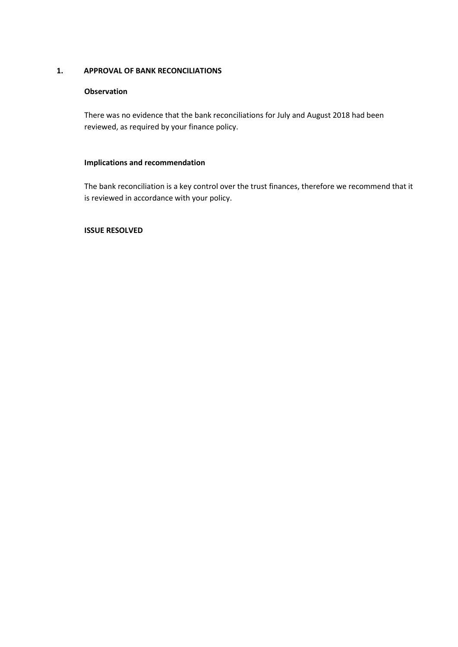# **1. APPROVAL OF BANK RECONCILIATIONS**

# **Observation**

There was no evidence that the bank reconciliations for July and August 2018 had been reviewed, as required by your finance policy.

### **Implications and recommendation**

The bank reconciliation is a key control over the trust finances, therefore we recommend that it is reviewed in accordance with your policy.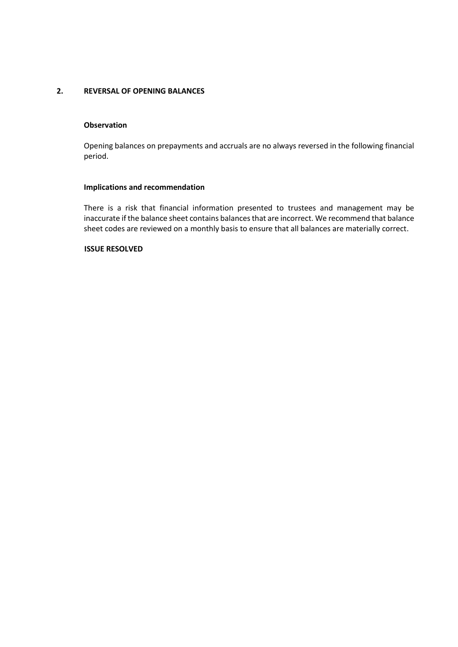# **2. REVERSAL OF OPENING BALANCES**

# **Observation**

Opening balances on prepayments and accruals are no always reversed in the following financial period.

# **Implications and recommendation**

There is a risk that financial information presented to trustees and management may be inaccurate if the balance sheet contains balances that are incorrect. We recommend that balance sheet codes are reviewed on a monthly basis to ensure that all balances are materially correct.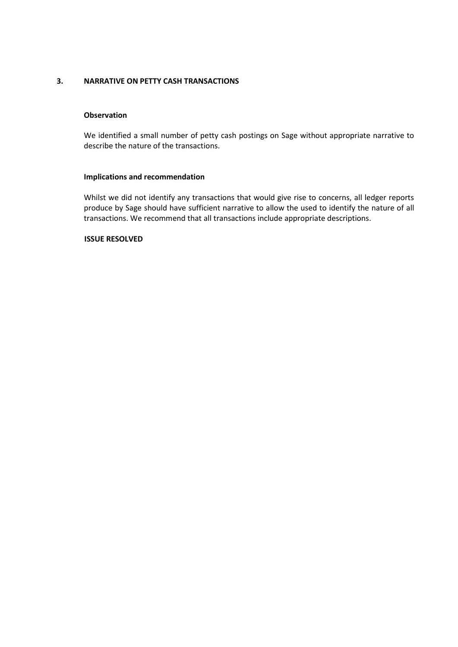# **3. NARRATIVE ON PETTY CASH TRANSACTIONS**

# **Observation**

We identified a small number of petty cash postings on Sage without appropriate narrative to describe the nature of the transactions.

### **Implications and recommendation**

Whilst we did not identify any transactions that would give rise to concerns, all ledger reports produce by Sage should have sufficient narrative to allow the used to identify the nature of all transactions. We recommend that all transactions include appropriate descriptions.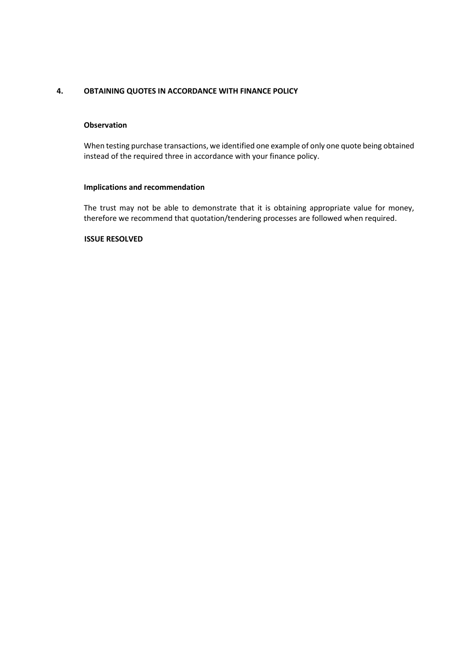# **4. OBTAINING QUOTES IN ACCORDANCE WITH FINANCE POLICY**

# **Observation**

When testing purchase transactions, we identified one example of only one quote being obtained instead of the required three in accordance with your finance policy.

# **Implications and recommendation**

The trust may not be able to demonstrate that it is obtaining appropriate value for money, therefore we recommend that quotation/tendering processes are followed when required.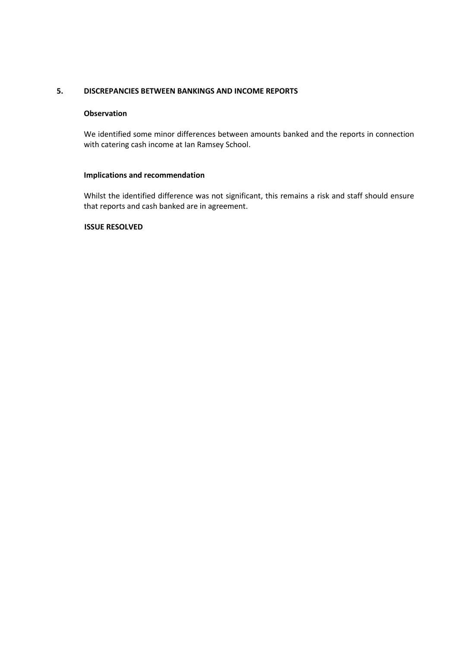# **5. DISCREPANCIES BETWEEN BANKINGS AND INCOME REPORTS**

### **Observation**

We identified some minor differences between amounts banked and the reports in connection with catering cash income at Ian Ramsey School.

### **Implications and recommendation**

Whilst the identified difference was not significant, this remains a risk and staff should ensure that reports and cash banked are in agreement.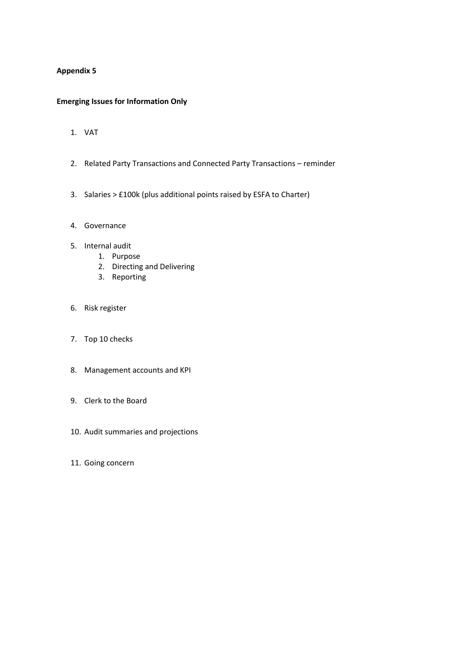# **Appendix 5**

# **Emerging Issues for Information Only**

- 1. VAT
- 2. Related Party Transactions and Connected Party Transactions reminder
- 3. Salaries > £100k (plus additional points raised by ESFA to Charter)
- 4. Governance
- 5. Internal audit
	- 1. Purpose
	- 2. Directing and Delivering
	- 3. Reporting
- 6. Risk register
- 7. Top 10 checks
- 8. Management accounts and KPI
- 9. Clerk to the Board
- 10. Audit summaries and projections
- 11. Going concern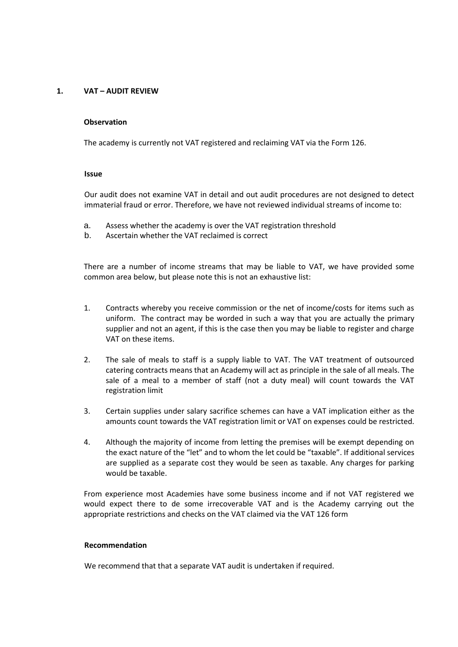# **1. VAT – AUDIT REVIEW**

#### **Observation**

The academy is currently not VAT registered and reclaiming VAT via the Form 126.

#### **Issue**

Our audit does not examine VAT in detail and out audit procedures are not designed to detect immaterial fraud or error. Therefore, we have not reviewed individual streams of income to:

- a. Assess whether the academy is over the VAT registration threshold
- b. Ascertain whether the VAT reclaimed is correct

There are a number of income streams that may be liable to VAT, we have provided some common area below, but please note this is not an exhaustive list:

- 1. Contracts whereby you receive commission or the net of income/costs for items such as uniform. The contract may be worded in such a way that you are actually the primary supplier and not an agent, if this is the case then you may be liable to register and charge VAT on these items.
- 2. The sale of meals to staff is a supply liable to VAT. The VAT treatment of outsourced catering contracts means that an Academy will act as principle in the sale of all meals. The sale of a meal to a member of staff (not a duty meal) will count towards the VAT registration limit
- 3. Certain supplies under salary sacrifice schemes can have a VAT implication either as the amounts count towards the VAT registration limit or VAT on expenses could be restricted.
- 4. Although the majority of income from letting the premises will be exempt depending on the exact nature of the "let" and to whom the let could be "taxable". If additional services are supplied as a separate cost they would be seen as taxable. Any charges for parking would be taxable.

From experience most Academies have some business income and if not VAT registered we would expect there to de some irrecoverable VAT and is the Academy carrying out the appropriate restrictions and checks on the VAT claimed via the VAT 126 form

#### **Recommendation**

We recommend that that a separate VAT audit is undertaken if required.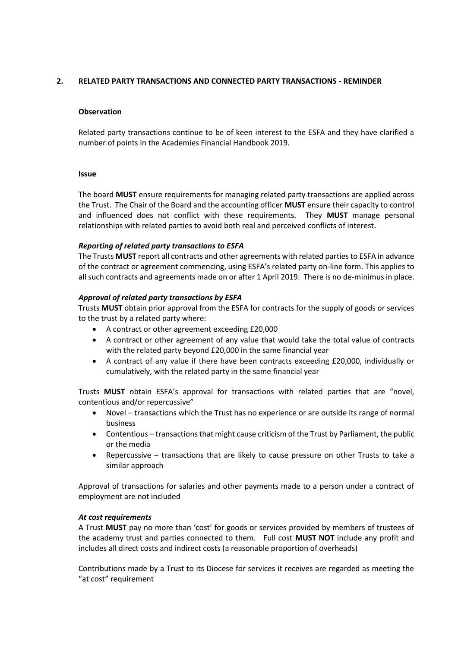# **2. RELATED PARTY TRANSACTIONS AND CONNECTED PARTY TRANSACTIONS - REMINDER**

### **Observation**

Related party transactions continue to be of keen interest to the ESFA and they have clarified a number of points in the Academies Financial Handbook 2019.

#### **Issue**

The board **MUST** ensure requirements for managing related party transactions are applied across the Trust. The Chair of the Board and the accounting officer **MUST** ensure their capacity to control and influenced does not conflict with these requirements. They **MUST** manage personal relationships with related parties to avoid both real and perceived conflicts of interest.

# *Reporting of related party transactions to ESFA*

The Trusts **MUST** report all contracts and other agreements with related parties to ESFA in advance of the contract or agreement commencing, using ESFA's related party on-line form. This applies to all such contracts and agreements made on or after 1 April 2019. There is no de-minimus in place.

# *Approval of related party transactions by ESFA*

Trusts **MUST** obtain prior approval from the ESFA for contracts for the supply of goods or services to the trust by a related party where:

- A contract or other agreement exceeding £20,000
- A contract or other agreement of any value that would take the total value of contracts with the related party beyond £20,000 in the same financial year
- A contract of any value if there have been contracts exceeding £20,000, individually or cumulatively, with the related party in the same financial year

Trusts **MUST** obtain ESFA's approval for transactions with related parties that are "novel, contentious and/or repercussive"

- Novel transactions which the Trust has no experience or are outside its range of normal business
- Contentious transactions that might cause criticism of the Trust by Parliament, the public or the media
- Repercussive transactions that are likely to cause pressure on other Trusts to take a similar approach

Approval of transactions for salaries and other payments made to a person under a contract of employment are not included

# *At cost requirements*

A Trust **MUST** pay no more than 'cost' for goods or services provided by members of trustees of the academy trust and parties connected to them. Full cost **MUST NOT** include any profit and includes all direct costs and indirect costs (a reasonable proportion of overheads)

Contributions made by a Trust to its Diocese for services it receives are regarded as meeting the "at cost" requirement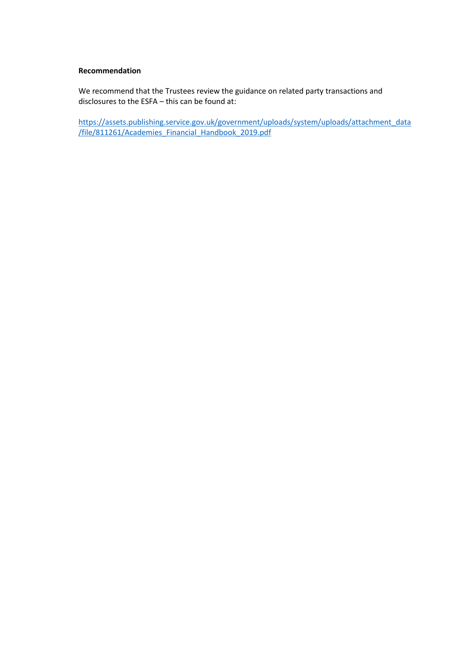### **Recommendation**

We recommend that the Trustees review the guidance on related party transactions and disclosures to the ESFA – this can be found at:

[https://assets.publishing.service.gov.uk/government/uploads/system/uploads/attachment\\_data](https://assets.publishing.service.gov.uk/government/uploads/system/uploads/attachment_data/file/811261/Academies_Financial_Handbook_2019.pdf) [/file/811261/Academies\\_Financial\\_Handbook\\_2019.pdf](https://assets.publishing.service.gov.uk/government/uploads/system/uploads/attachment_data/file/811261/Academies_Financial_Handbook_2019.pdf)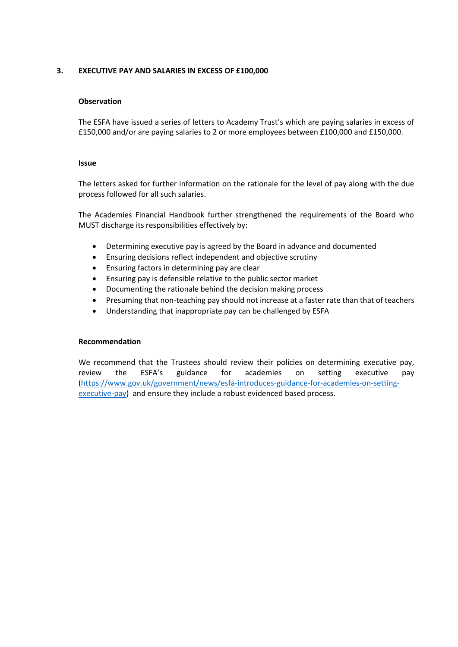# **3. EXECUTIVE PAY AND SALARIES IN EXCESS OF £100,000**

#### **Observation**

The ESFA have issued a series of letters to Academy Trust's which are paying salaries in excess of £150,000 and/or are paying salaries to 2 or more employees between £100,000 and £150,000.

#### **Issue**

The letters asked for further information on the rationale for the level of pay along with the due process followed for all such salaries.

The Academies Financial Handbook further strengthened the requirements of the Board who MUST discharge its responsibilities effectively by:

- Determining executive pay is agreed by the Board in advance and documented
- Ensuring decisions reflect independent and objective scrutiny
- Ensuring factors in determining pay are clear
- Ensuring pay is defensible relative to the public sector market
- Documenting the rationale behind the decision making process
- Presuming that non-teaching pay should not increase at a faster rate than that of teachers
- Understanding that inappropriate pay can be challenged by ESFA

#### **Recommendation**

We recommend that the Trustees should review their policies on determining executive pay, review the ESFA's guidance for academies on setting executive pay [\(https://www.gov.uk/government/news/esfa-introduces-guidance-for-academies-on-setting](https://www.gov.uk/government/news/esfa-introduces-guidance-for-academies-on-setting-executive-pay)[executive-pay\)](https://www.gov.uk/government/news/esfa-introduces-guidance-for-academies-on-setting-executive-pay) and ensure they include a robust evidenced based process.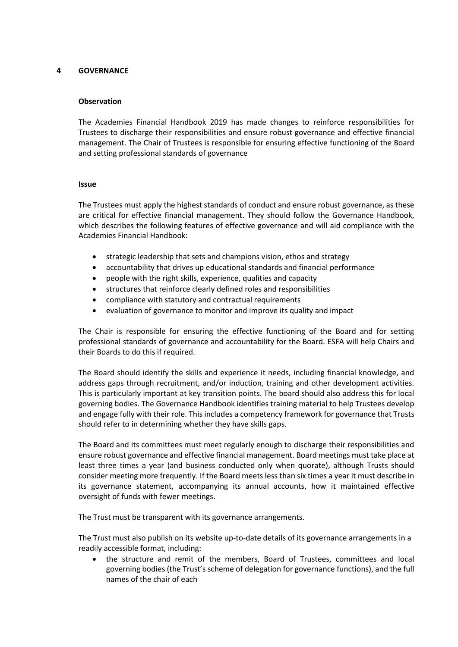# **4 GOVERNANCE**

#### **Observation**

The Academies Financial Handbook 2019 has made changes to reinforce responsibilities for Trustees to discharge their responsibilities and ensure robust governance and effective financial management. The Chair of Trustees is responsible for ensuring effective functioning of the Board and setting professional standards of governance

#### **Issue**

The Trustees must apply the highest standards of conduct and ensure robust governance, as these are critical for effective financial management. They should follow the Governance Handbook, which describes the following features of effective governance and will aid compliance with the Academies Financial Handbook:

- strategic leadership that sets and champions vision, ethos and strategy
- accountability that drives up educational standards and financial performance
- people with the right skills, experience, qualities and capacity
- structures that reinforce clearly defined roles and responsibilities
- compliance with statutory and contractual requirements
- evaluation of governance to monitor and improve its quality and impact

The Chair is responsible for ensuring the effective functioning of the Board and for setting professional standards of governance and accountability for the Board. ESFA will help Chairs and their Boards to do this if required.

The Board should identify the skills and experience it needs, including financial knowledge, and address gaps through recruitment, and/or induction, training and other development activities. This is particularly important at key transition points. The board should also address this for local governing bodies. The Governance Handbook identifies training material to help Trustees develop and engage fully with their role. This includes a competency framework for governance that Trusts should refer to in determining whether they have skills gaps.

The Board and its committees must meet regularly enough to discharge their responsibilities and ensure robust governance and effective financial management. Board meetings must take place at least three times a year (and business conducted only when quorate), although Trusts should consider meeting more frequently. If the Board meets less than six times a year it must describe in its governance statement, accompanying its annual accounts, how it maintained effective oversight of funds with fewer meetings.

The Trust must be transparent with its governance arrangements.

The Trust must also publish on its website up-to-date details of its governance arrangements in a readily accessible format, including:

• the structure and remit of the members, Board of Trustees, committees and local governing bodies (the Trust's scheme of delegation for governance functions), and the full names of the chair of each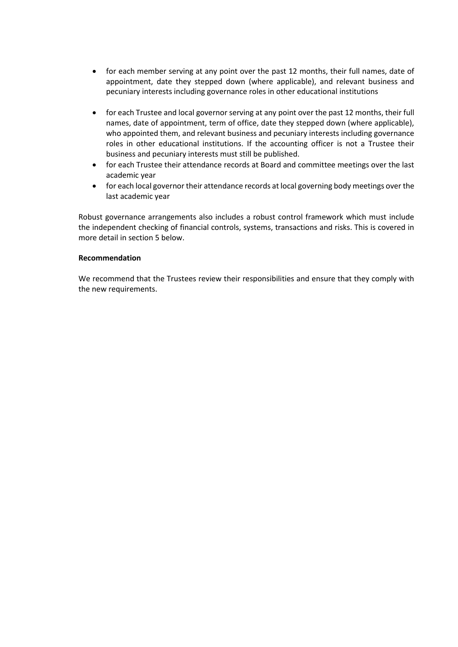- for each member serving at any point over the past 12 months, their full names, date of appointment, date they stepped down (where applicable), and relevant business and pecuniary interests including governance roles in other educational institutions
- for each Trustee and local governor serving at any point over the past 12 months, their full names, date of appointment, term of office, date they stepped down (where applicable), who appointed them, and relevant business and pecuniary interests including governance roles in other educational institutions. If the accounting officer is not a Trustee their business and pecuniary interests must still be published.
- for each Trustee their attendance records at Board and committee meetings over the last academic year
- for each local governor their attendance records at local governing body meetings over the last academic year

Robust governance arrangements also includes a robust control framework which must include the independent checking of financial controls, systems, transactions and risks. This is covered in more detail in section 5 below.

#### **Recommendation**

We recommend that the Trustees review their responsibilities and ensure that they comply with the new requirements.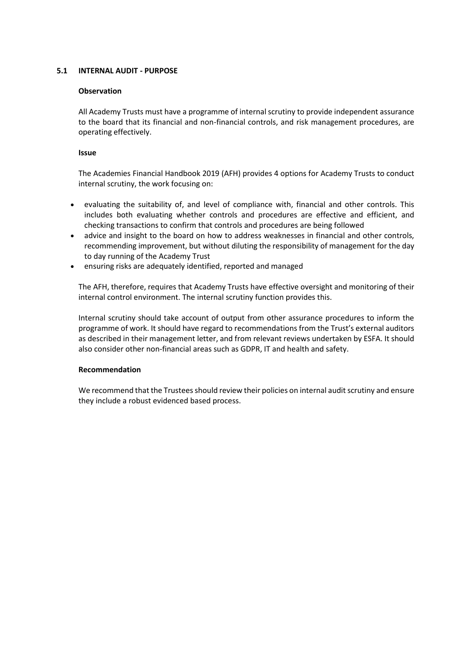# **5.1 INTERNAL AUDIT - PURPOSE**

# **Observation**

All Academy Trusts must have a programme of internal scrutiny to provide independent assurance to the board that its financial and non-financial controls, and risk management procedures, are operating effectively.

# **Issue**

The Academies Financial Handbook 2019 (AFH) provides 4 options for Academy Trusts to conduct internal scrutiny, the work focusing on:

- evaluating the suitability of, and level of compliance with, financial and other controls. This includes both evaluating whether controls and procedures are effective and efficient, and checking transactions to confirm that controls and procedures are being followed
- advice and insight to the board on how to address weaknesses in financial and other controls, recommending improvement, but without diluting the responsibility of management for the day to day running of the Academy Trust
- ensuring risks are adequately identified, reported and managed

The AFH, therefore, requires that Academy Trusts have effective oversight and monitoring of their internal control environment. The internal scrutiny function provides this.

Internal scrutiny should take account of output from other assurance procedures to inform the programme of work. It should have regard to recommendations from the Trust's external auditors as described in their management letter, and from relevant reviews undertaken by ESFA. It should also consider other non-financial areas such as GDPR, IT and health and safety.

# **Recommendation**

We recommend that the Trustees should review their policies on internal audit scrutiny and ensure they include a robust evidenced based process.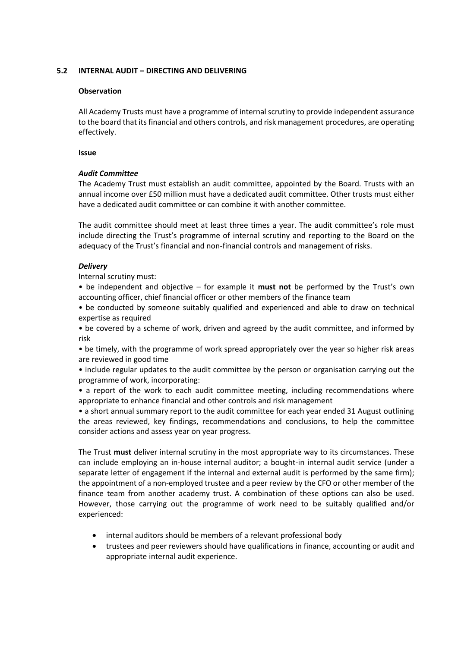# **5.2 INTERNAL AUDIT – DIRECTING AND DELIVERING**

# **Observation**

All Academy Trusts must have a programme of internal scrutiny to provide independent assurance to the board that its financial and others controls, and risk management procedures, are operating effectively.

#### **Issue**

# *Audit Committee*

The Academy Trust must establish an audit committee, appointed by the Board. Trusts with an annual income over £50 million must have a dedicated audit committee. Other trusts must either have a dedicated audit committee or can combine it with another committee.

The audit committee should meet at least three times a year. The audit committee's role must include directing the Trust's programme of internal scrutiny and reporting to the Board on the adequacy of the Trust's financial and non-financial controls and management of risks.

# *Delivery*

Internal scrutiny must:

• be independent and objective – for example it **must not** be performed by the Trust's own accounting officer, chief financial officer or other members of the finance team

• be conducted by someone suitably qualified and experienced and able to draw on technical expertise as required

• be covered by a scheme of work, driven and agreed by the audit committee, and informed by risk

• be timely, with the programme of work spread appropriately over the year so higher risk areas are reviewed in good time

• include regular updates to the audit committee by the person or organisation carrying out the programme of work, incorporating:

• a report of the work to each audit committee meeting, including recommendations where appropriate to enhance financial and other controls and risk management

• a short annual summary report to the audit committee for each year ended 31 August outlining the areas reviewed, key findings, recommendations and conclusions, to help the committee consider actions and assess year on year progress.

The Trust **must** deliver internal scrutiny in the most appropriate way to its circumstances. These can include employing an in-house internal auditor; a bought-in internal audit service (under a separate letter of engagement if the internal and external audit is performed by the same firm); the appointment of a non-employed trustee and a peer review by the CFO or other member of the finance team from another academy trust. A combination of these options can also be used. However, those carrying out the programme of work need to be suitably qualified and/or experienced:

- internal auditors should be members of a relevant professional body
- trustees and peer reviewers should have qualifications in finance, accounting or audit and appropriate internal audit experience.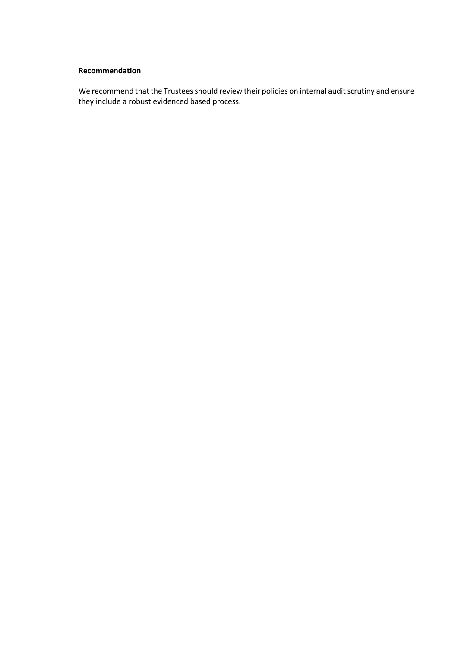# **Recommendation**

We recommend that the Trustees should review their policies on internal audit scrutiny and ensure they include a robust evidenced based process.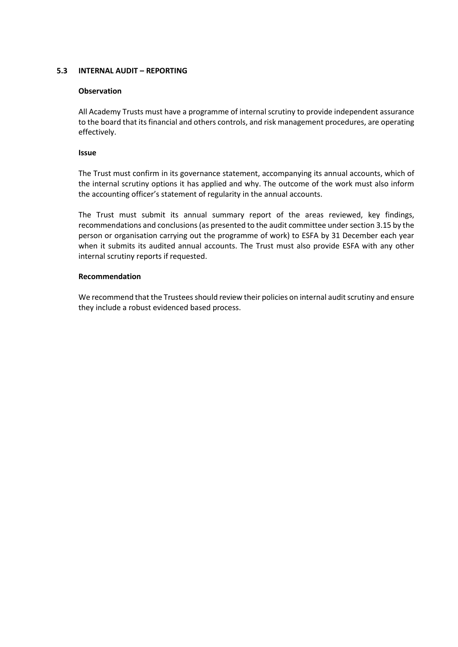# **5.3 INTERNAL AUDIT – REPORTING**

#### **Observation**

All Academy Trusts must have a programme of internal scrutiny to provide independent assurance to the board that its financial and others controls, and risk management procedures, are operating effectively.

#### **Issue**

The Trust must confirm in its governance statement, accompanying its annual accounts, which of the internal scrutiny options it has applied and why. The outcome of the work must also inform the accounting officer's statement of regularity in the annual accounts.

The Trust must submit its annual summary report of the areas reviewed, key findings, recommendations and conclusions (as presented to the audit committee under section 3.15 by the person or organisation carrying out the programme of work) to ESFA by 31 December each year when it submits its audited annual accounts. The Trust must also provide ESFA with any other internal scrutiny reports if requested.

### **Recommendation**

We recommend that the Trustees should review their policies on internal audit scrutiny and ensure they include a robust evidenced based process.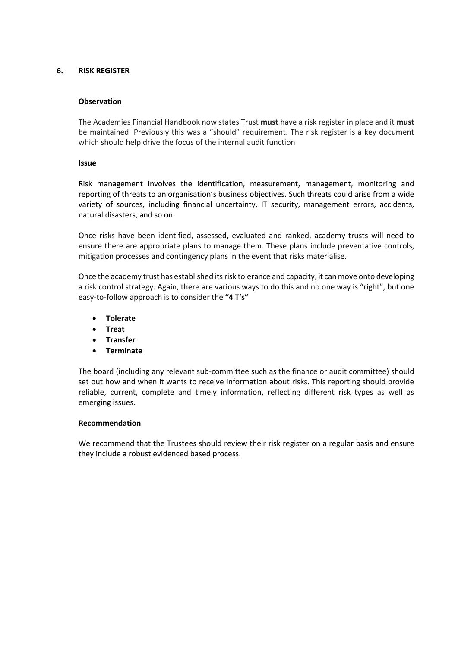# **6. RISK REGISTER**

# **Observation**

The Academies Financial Handbook now states Trust **must** have a risk register in place and it **must**  be maintained. Previously this was a "should" requirement. The risk register is a key document which should help drive the focus of the internal audit function

### **Issue**

Risk management involves the identification, measurement, management, monitoring and reporting of threats to an organisation's business objectives. Such threats could arise from a wide variety of sources, including financial uncertainty, IT security, management errors, accidents, natural disasters, and so on.

Once risks have been identified, assessed, evaluated and ranked, academy trusts will need to ensure there are appropriate plans to manage them. These plans include preventative controls, mitigation processes and contingency plans in the event that risks materialise.

Once the academy trust has established its risk tolerance and capacity, it can move onto developing a risk control strategy. Again, there are various ways to do this and no one way is "right", but one easy-to-follow approach is to consider the **"4 T's"**

- **Tolerate**
- **Treat**
- **Transfer**
- **Terminate**

The board (including any relevant sub-committee such as the finance or audit committee) should set out how and when it wants to receive information about risks. This reporting should provide reliable, current, complete and timely information, reflecting different risk types as well as emerging issues.

# **Recommendation**

We recommend that the Trustees should review their risk register on a regular basis and ensure they include a robust evidenced based process.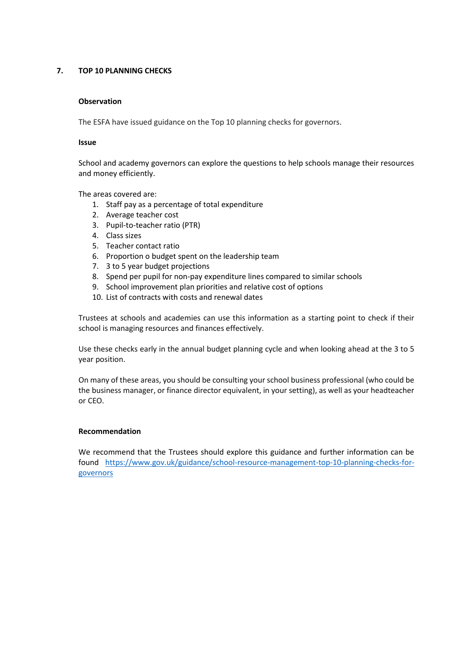# **7. TOP 10 PLANNING CHECKS**

# **Observation**

The ESFA have issued guidance on the Top 10 planning checks for governors.

#### **Issue**

School and academy governors can explore the questions to help schools manage their resources and money efficiently.

The areas covered are:

- 1. Staff pay as a percentage of total expenditure
- 2. Average teacher cost
- 3. Pupil-to-teacher ratio (PTR)
- 4. Class sizes
- 5. Teacher contact ratio
- 6. Proportion o budget spent on the leadership team
- 7. 3 to 5 year budget projections
- 8. Spend per pupil for non-pay expenditure lines compared to similar schools
- 9. School improvement plan priorities and relative cost of options
- 10. List of contracts with costs and renewal dates

Trustees at schools and academies can use this information as a starting point to check if their school is managing resources and finances effectively.

Use these checks early in the annual budget planning cycle and when looking ahead at the 3 to 5 year position.

On many of these areas, you should be consulting your school business professional (who could be the business manager, or finance director equivalent, in your setting), as well as your headteacher or CEO.

#### **Recommendation**

We recommend that the Trustees should explore this guidance and further information can be found [https://www.gov.uk/guidance/school-resource-management-top-10-planning-checks-for](https://www.gov.uk/guidance/school-resource-management-top-10-planning-checks-for-governors)[governors](https://www.gov.uk/guidance/school-resource-management-top-10-planning-checks-for-governors)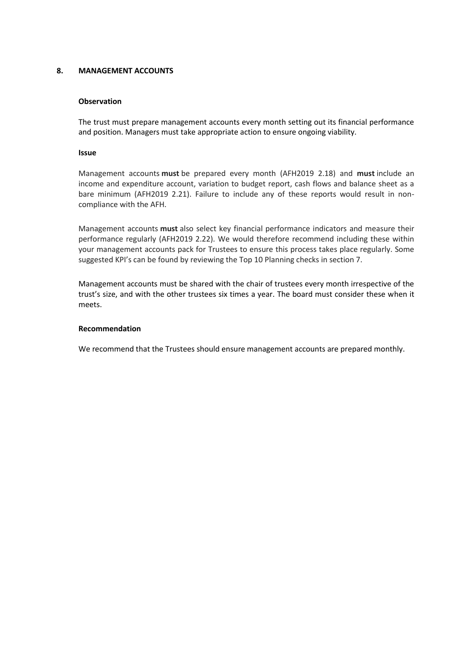# **8. MANAGEMENT ACCOUNTS**

# **Observation**

The trust must prepare management accounts every month setting out its financial performance and position. Managers must take appropriate action to ensure ongoing viability.

#### **Issue**

Management accounts **must** be prepared every month (AFH2019 2.18) and **must** include an income and expenditure account, variation to budget report, cash flows and balance sheet as a bare minimum (AFH2019 2.21). Failure to include any of these reports would result in noncompliance with the AFH.

Management accounts **must** also select key financial performance indicators and measure their performance regularly (AFH2019 2.22). We would therefore recommend including these within your management accounts pack for Trustees to ensure this process takes place regularly. Some suggested KPI's can be found by reviewing the Top 10 Planning checks in section 7.

Management accounts must be shared with the chair of trustees every month irrespective of the trust's size, and with the other trustees six times a year. The board must consider these when it meets.

# **Recommendation**

We recommend that the Trustees should ensure management accounts are prepared monthly.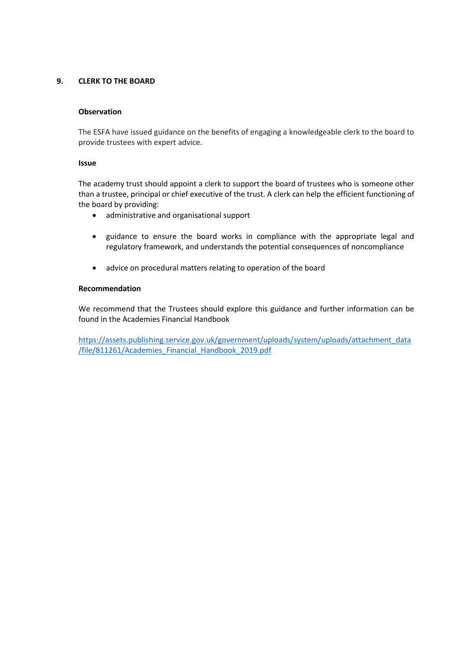# **9. CLERK TO THE BOARD**

#### **Observation**

The ESFA have issued guidance on the benefits of engaging a knowledgeable clerk to the board to provide trustees with expert advice.

#### **Issue**

The academy trust should appoint a clerk to support the board of trustees who is someone other than a trustee, principal or chief executive of the trust. A clerk can help the efficient functioning of the board by providing:

- administrative and organisational support
- guidance to ensure the board works in compliance with the appropriate legal and regulatory framework, and understands the potential consequences of noncompliance
- advice on procedural matters relating to operation of the board

#### **Recommendation**

We recommend that the Trustees should explore this guidance and further information can be found in the Academies Financial Handbook

[https://assets.publishing.service.gov.uk/government/uploads/system/uploads/attachment\\_data](https://assets.publishing.service.gov.uk/government/uploads/system/uploads/attachment_data/file/811261/Academies_Financial_Handbook_2019.pdf) [/file/811261/Academies\\_Financial\\_Handbook\\_2019.pdf](https://assets.publishing.service.gov.uk/government/uploads/system/uploads/attachment_data/file/811261/Academies_Financial_Handbook_2019.pdf)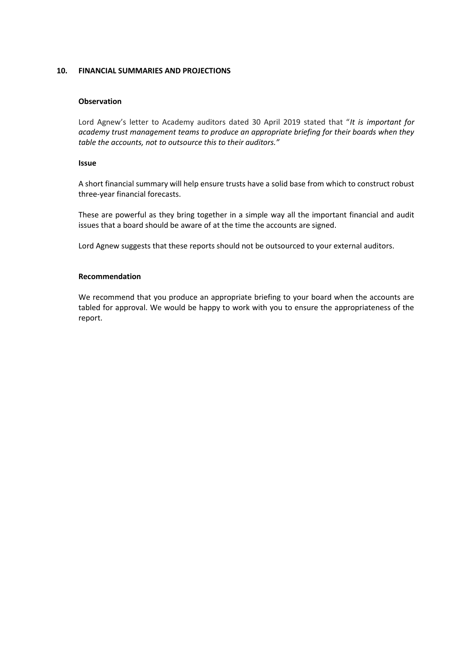### **10. FINANCIAL SUMMARIES AND PROJECTIONS**

#### **Observation**

Lord Agnew's letter to Academy auditors dated 30 April 2019 stated that "*It is important for academy trust management teams to produce an appropriate briefing for their boards when they table the accounts, not to outsource this to their auditors."*

#### **Issue**

A short financial summary will help ensure trusts have a solid base from which to construct robust three-year financial forecasts.

These are powerful as they bring together in a simple way all the important financial and audit issues that a board should be aware of at the time the accounts are signed.

Lord Agnew suggests that these reports should not be outsourced to your external auditors.

### **Recommendation**

We recommend that you produce an appropriate briefing to your board when the accounts are tabled for approval. We would be happy to work with you to ensure the appropriateness of the report.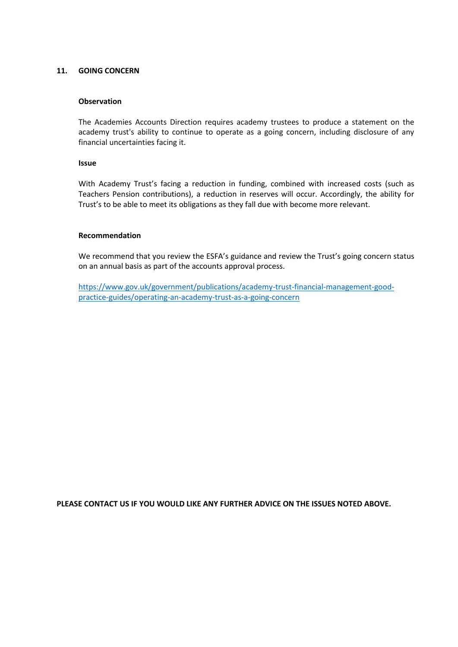#### **11. GOING CONCERN**

#### **Observation**

The Academies Accounts Direction requires academy trustees to produce a statement on the academy trust's ability to continue to operate as a going concern, including disclosure of any financial uncertainties facing it.

#### **Issue**

With Academy Trust's facing a reduction in funding, combined with increased costs (such as Teachers Pension contributions), a reduction in reserves will occur. Accordingly, the ability for Trust's to be able to meet its obligations as they fall due with become more relevant.

#### **Recommendation**

We recommend that you review the ESFA's guidance and review the Trust's going concern status on an annual basis as part of the accounts approval process.

[https://www.gov.uk/government/publications/academy-trust-financial-management-good](https://www.gov.uk/government/publications/academy-trust-financial-management-good-practice-guides/operating-an-academy-trust-as-a-going-concern)[practice-guides/operating-an-academy-trust-as-a-going-concern](https://www.gov.uk/government/publications/academy-trust-financial-management-good-practice-guides/operating-an-academy-trust-as-a-going-concern)

**PLEASE CONTACT US IF YOU WOULD LIKE ANY FURTHER ADVICE ON THE ISSUES NOTED ABOVE.**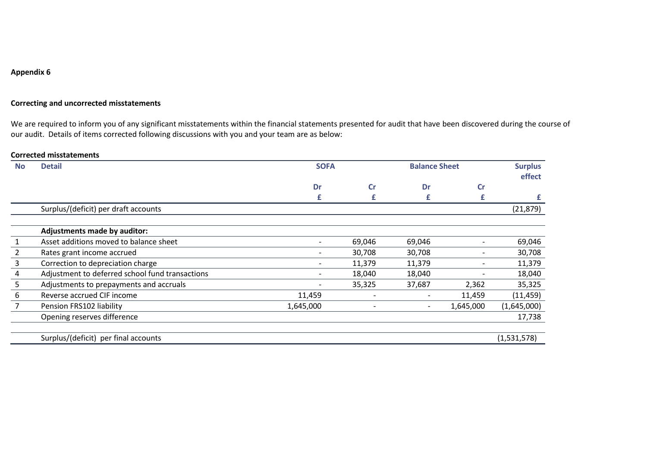# **Appendix 6**

### **Correcting and uncorrected misstatements**

We are required to inform you of any significant misstatements within the financial statements presented for audit that have been discovered during the course of our audit. Details of items corrected following discussions with you and your team are as below:

#### **Corrected misstatements**

| <b>No</b>      | <b>Detail</b>                                   | <b>SOFA</b> |               | <b>Balance Sheet</b>     |           | <b>Surplus</b><br>effect |
|----------------|-------------------------------------------------|-------------|---------------|--------------------------|-----------|--------------------------|
|                |                                                 | Dr          | $\mathsf{Cr}$ | Dr                       | cr        |                          |
|                |                                                 | £           | £             | £                        | £         | £                        |
|                | Surplus/(deficit) per draft accounts            |             |               |                          |           | (21, 879)                |
|                |                                                 |             |               |                          |           |                          |
|                | <b>Adjustments made by auditor:</b>             |             |               |                          |           |                          |
|                | Asset additions moved to balance sheet          |             | 69,046        | 69,046                   |           | 69,046                   |
| $\overline{2}$ | Rates grant income accrued                      |             | 30,708        | 30,708                   |           | 30,708                   |
| 3              | Correction to depreciation charge               |             | 11,379        | 11,379                   | -         | 11,379                   |
| 4              | Adjustment to deferred school fund transactions |             | 18,040        | 18,040                   |           | 18,040                   |
| 5 <sup>1</sup> | Adjustments to prepayments and accruals         |             | 35,325        | 37,687                   | 2,362     | 35,325                   |
| 6              | Reverse accrued CIF income                      | 11,459      |               | $\overline{\phantom{a}}$ | 11,459    | (11, 459)                |
| $\overline{7}$ | Pension FRS102 liability                        | 1,645,000   |               | $\overline{\phantom{a}}$ | 1,645,000 | (1,645,000)              |
|                | Opening reserves difference                     |             |               |                          |           | 17,738                   |
|                | Surplus/(deficit) per final accounts            |             |               |                          |           | (1,531,578)              |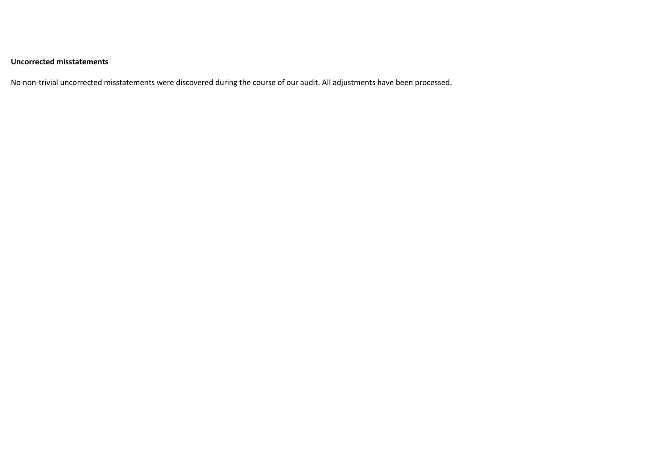# **Uncorrected misstatements**

No non-trivial uncorrected misstatements were discovered during the course of our audit. All adjustments have been processed.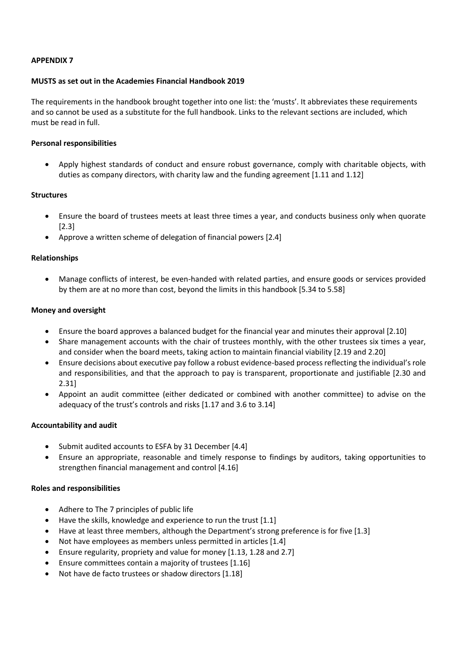# **APPENDIX 7**

# **MUSTS as set out in the Academies Financial Handbook 2019**

The requirements in the handbook brought together into one list: the 'musts'. It abbreviates these requirements and so cannot be used as a substitute for the full handbook. Links to the relevant sections are included, which must be read in full.

# **Personal responsibilities**

• Apply highest standards of conduct and ensure robust governance, comply with charitable objects, with duties as company directors, with charity law and the funding agreement [1.11 and 1.12]

# **Structures**

- Ensure the board of trustees meets at least three times a year, and conducts business only when quorate [2.3]
- Approve a written scheme of delegation of financial powers [2.4]

# **Relationships**

• Manage conflicts of interest, be even-handed with related parties, and ensure goods or services provided by them are at no more than cost, beyond the limits in this handbook [5.34 to 5.58]

# **Money and oversight**

- Ensure the board approves a balanced budget for the financial year and minutes their approval [2.10]
- Share management accounts with the chair of trustees monthly, with the other trustees six times a year, and consider when the board meets, taking action to maintain financial viability [2.19 and 2.20]
- Ensure decisions about executive pay follow a robust evidence-based process reflecting the individual's role and responsibilities, and that the approach to pay is transparent, proportionate and justifiable [2.30 and 2.31]
- Appoint an audit committee (either dedicated or combined with another committee) to advise on the adequacy of the trust's controls and risks [1.17 and 3.6 to 3.14]

# **Accountability and audit**

- Submit audited accounts to ESFA by 31 December [4.4]
- Ensure an appropriate, reasonable and timely response to findings by auditors, taking opportunities to strengthen financial management and control [4.16]

# **Roles and responsibilities**

- Adhere to The 7 principles of public life
- Have the skills, knowledge and experience to run the trust [1.1]
- Have at least three members, although the Department's strong preference is for five [1.3]
- Not have employees as members unless permitted in articles [1.4]
- Ensure regularity, propriety and value for money [1.13, 1.28 and 2.7]
- Ensure committees contain a majority of trustees [1.16]
- Not have de facto trustees or shadow directors [1.18]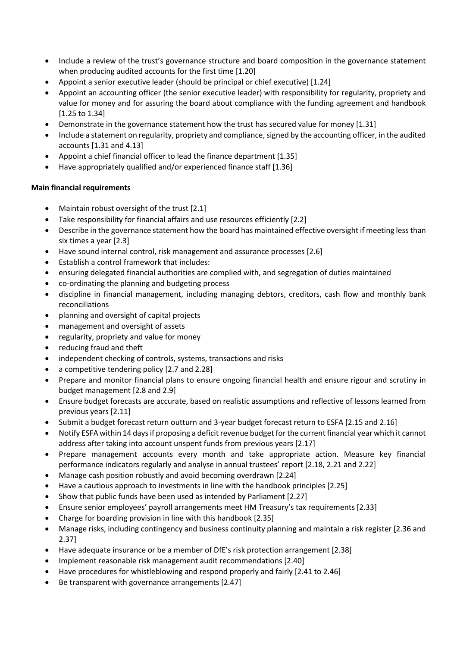- Include a review of the trust's governance structure and board composition in the governance statement when producing audited accounts for the first time [1.20]
- Appoint a senior executive leader (should be principal or chief executive) [1.24]
- Appoint an accounting officer (the senior executive leader) with responsibility for regularity, propriety and value for money and for assuring the board about compliance with the funding agreement and handbook [1.25 to 1.34]
- Demonstrate in the governance statement how the trust has secured value for money [1.31]
- Include a statement on regularity, propriety and compliance, signed by the accounting officer, in the audited accounts [1.31 and 4.13]
- Appoint a chief financial officer to lead the finance department [1.35]
- Have appropriately qualified and/or experienced finance staff [1.36]

# **Main financial requirements**

- Maintain robust oversight of the trust [2.1]
- Take responsibility for financial affairs and use resources efficiently [2.2]
- Describe in the governance statement how the board has maintained effective oversight if meeting less than six times a year [2.3]
- Have sound internal control, risk management and assurance processes [2.6]
- Establish a control framework that includes:
- ensuring delegated financial authorities are complied with, and segregation of duties maintained
- co-ordinating the planning and budgeting process
- discipline in financial management, including managing debtors, creditors, cash flow and monthly bank reconciliations
- planning and oversight of capital projects
- management and oversight of assets
- regularity, propriety and value for money
- reducing fraud and theft
- independent checking of controls, systems, transactions and risks
- a competitive tendering policy [2.7 and 2.28]
- Prepare and monitor financial plans to ensure ongoing financial health and ensure rigour and scrutiny in budget management [2.8 and 2.9]
- Ensure budget forecasts are accurate, based on realistic assumptions and reflective of lessons learned from previous years [2.11]
- Submit a budget forecast return outturn and 3-year budget forecast return to ESFA [2.15 and 2.16]
- Notify ESFA within 14 days if proposing a deficit revenue budget for the current financial year which it cannot address after taking into account unspent funds from previous years [2.17]
- Prepare management accounts every month and take appropriate action. Measure key financial performance indicators regularly and analyse in annual trustees' report [2.18, 2.21 and 2.22]
- Manage cash position robustly and avoid becoming overdrawn [2.24]
- Have a cautious approach to investments in line with the handbook principles [2.25]
- Show that public funds have been used as intended by Parliament [2.27]
- Ensure senior employees' payroll arrangements meet HM Treasury's tax requirements [2.33]
- Charge for boarding provision in line with this handbook [2.35]
- Manage risks, including contingency and business continuity planning and maintain a risk register [2.36 and 2.37]
- Have adequate insurance or be a member of DfE's risk protection arrangement [2.38]
- Implement reasonable risk management audit recommendations [2.40]
- Have procedures for whistleblowing and respond properly and fairly [2.41 to 2.46]
- Be transparent with governance arrangements [2.47]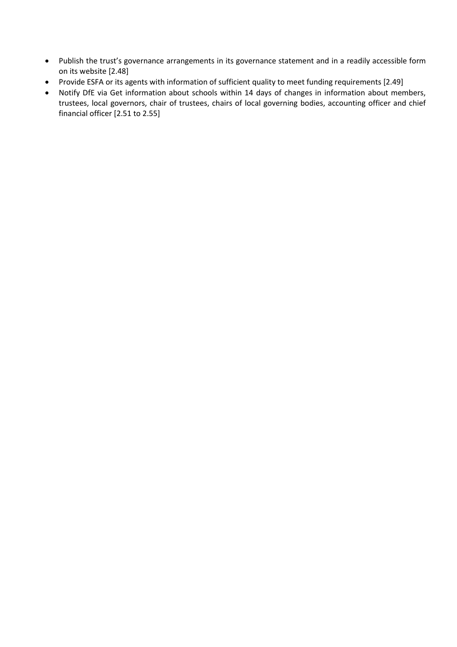- Publish the trust's governance arrangements in its governance statement and in a readily accessible form on its website [2.48]
- Provide ESFA or its agents with information of sufficient quality to meet funding requirements [2.49]
- Notify DfE via Get information about schools within 14 days of changes in information about members, trustees, local governors, chair of trustees, chairs of local governing bodies, accounting officer and chief financial officer [2.51 to 2.55]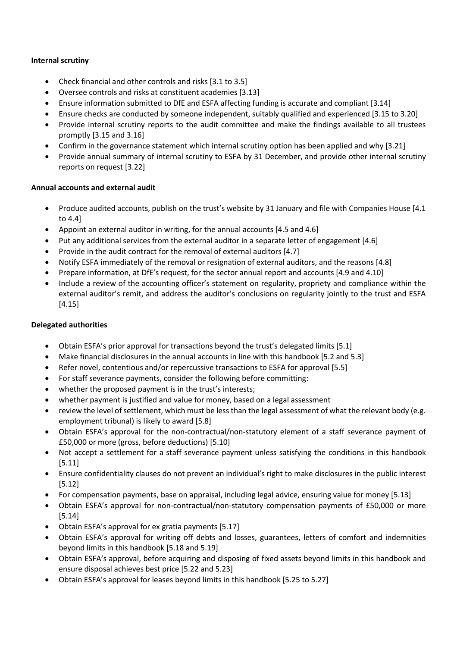# **Internal scrutiny**

- Check financial and other controls and risks [3.1 to 3.5]
- Oversee controls and risks at constituent academies [3.13]
- Ensure information submitted to DfE and ESFA affecting funding is accurate and compliant [3.14]
- Ensure checks are conducted by someone independent, suitably qualified and experienced [3.15 to 3.20]
- Provide internal scrutiny reports to the audit committee and make the findings available to all trustees promptly [3.15 and 3.16]
- Confirm in the governance statement which internal scrutiny option has been applied and why [3.21]
- Provide annual summary of internal scrutiny to ESFA by 31 December, and provide other internal scrutiny reports on request [3.22]

# **Annual accounts and external audit**

- Produce audited accounts, publish on the trust's website by 31 January and file with Companies House [4.1] to 4.4]
- Appoint an external auditor in writing, for the annual accounts [4.5 and 4.6]
- Put any additional services from the external auditor in a separate letter of engagement [4.6]
- Provide in the audit contract for the removal of external auditors [4.7]
- Notify ESFA immediately of the removal or resignation of external auditors, and the reasons [4.8]
- Prepare information, at DfE's request, for the sector annual report and accounts [4.9 and 4.10]
- Include a review of the accounting officer's statement on regularity, propriety and compliance within the external auditor's remit, and address the auditor's conclusions on regularity jointly to the trust and ESFA [4.15]

# **Delegated authorities**

- Obtain ESFA's prior approval for transactions beyond the trust's delegated limits [5.1]
- Make financial disclosures in the annual accounts in line with this handbook [5.2 and 5.3]
- Refer novel, contentious and/or repercussive transactions to ESFA for approval [5.5]
- For staff severance payments, consider the following before committing:
- whether the proposed payment is in the trust's interests;
- whether payment is justified and value for money, based on a legal assessment
- review the level of settlement, which must be less than the legal assessment of what the relevant body (e.g. employment tribunal) is likely to award [5.8]
- Obtain ESFA's approval for the non-contractual/non-statutory element of a staff severance payment of £50,000 or more (gross, before deductions) [5.10]
- Not accept a settlement for a staff severance payment unless satisfying the conditions in this handbook [5.11]
- Ensure confidentiality clauses do not prevent an individual's right to make disclosures in the public interest [5.12]
- For compensation payments, base on appraisal, including legal advice, ensuring value for money [5.13]
- Obtain ESFA's approval for non-contractual/non-statutory compensation payments of £50,000 or more [5.14]
- Obtain ESFA's approval for ex gratia payments [5.17]
- Obtain ESFA's approval for writing off debts and losses, guarantees, letters of comfort and indemnities beyond limits in this handbook [5.18 and 5.19]
- Obtain ESFA's approval, before acquiring and disposing of fixed assets beyond limits in this handbook and ensure disposal achieves best price [5.22 and 5.23]
- Obtain ESFA's approval for leases beyond limits in this handbook [5.25 to 5.27]